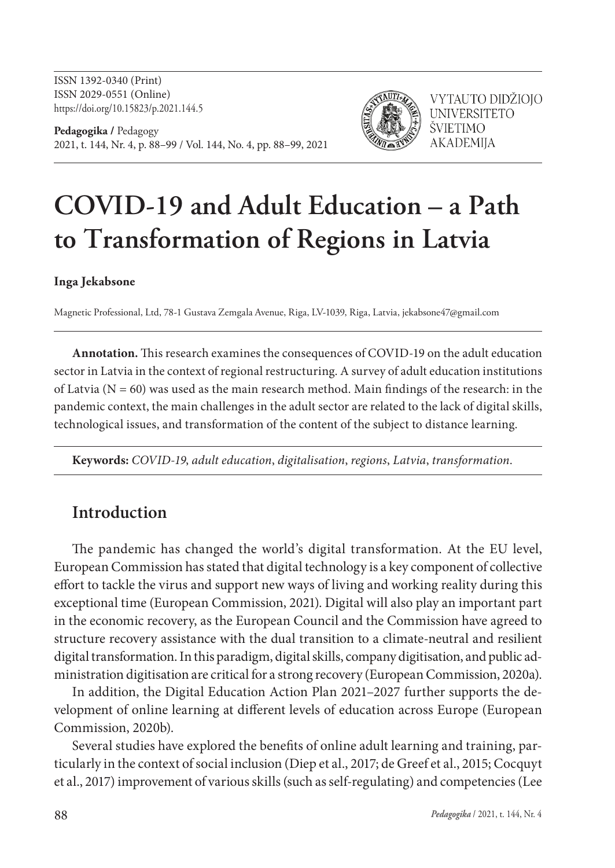ISSN 1392-0340 (Print) ISSN 2029-0551 (Online) https://doi.org/10.15823/p.2021.144.5

**Pedagogika /** Pedagogy 2021, t. 144, Nr. 4, p. 88–99 / Vol. 144, No. 4, pp. 88–99, 2021



VYTAUTO DIDŽIOJO **UNIVERSITETO** ŠVIETIMO **AKADEMIIA** 

# **COVID-19 and Adult Education – a Path to Transformation of Regions in Latvia**

**Inga Jekabsone**

Magnetic Professional, Ltd, 78-1 Gustava Zemgala Avenue, Riga, LV-1039, Riga, Latvia, jekabsone47@gmail.com

**Annotation.** This research examines the consequences of COVID-19 on the adult education sector in Latvia in the context of regional restructuring. A survey of adult education institutions of Latvia  $(N = 60)$  was used as the main research method. Main findings of the research: in the pandemic context, the main challenges in the adult sector are related to the lack of digital skills, technological issues, and transformation of the content of the subject to distance learning.

**Keywords:** *COVID-19*, *adult education*, *digitalisation*, *regions*, *Latvia*, *transformation*.

# **Introduction**

The pandemic has changed the world's digital transformation. At the EU level, European Commission has stated that digital technology is a key component of collective effort to tackle the virus and support new ways of living and working reality during this exceptional time (European Commission, 2021). Digital will also play an important part in the economic recovery, as the European Council and the Commission have agreed to structure recovery assistance with the dual transition to a climate-neutral and resilient digital transformation. In this paradigm, digital skills, company digitisation, and public administration digitisation are critical for a strong recovery (European Commission, 2020a).

In addition, the Digital Education Action Plan 2021–2027 further supports the development of online learning at different levels of education across Europe (European Commission, 2020b).

Several studies have explored the benefits of online adult learning and training, particularly in the context of social inclusion (Diep et al., 2017; de Greef et al., 2015; Cocquyt et al., 2017) improvement of various skills (such as self-regulating) and competencies (Lee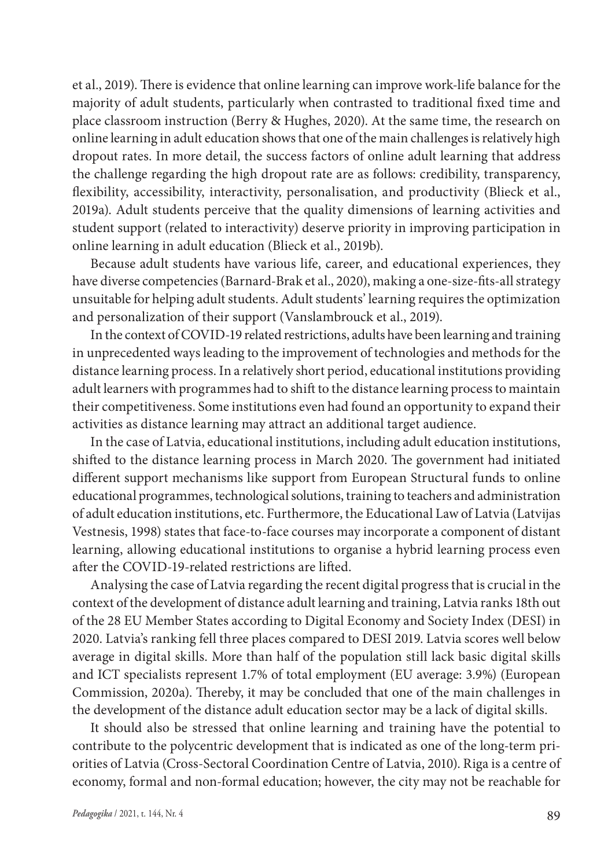et al., 2019). There is evidence that online learning can improve work-life balance for the majority of adult students, particularly when contrasted to traditional fixed time and place classroom instruction (Berry & Hughes, 2020). At the same time, the research on online learning in adult education shows that one of the main challenges is relatively high dropout rates. In more detail, the success factors of online adult learning that address the challenge regarding the high dropout rate are as follows: credibility, transparency, flexibility, accessibility, interactivity, personalisation, and productivity (Blieck et al., 2019a). Adult students perceive that the quality dimensions of learning activities and student support (related to interactivity) deserve priority in improving participation in online learning in adult education (Blieck et al., 2019b).

Because adult students have various life, career, and educational experiences, they have diverse competencies (Barnard-Brak et al., 2020), making a one-size-fits-all strategy unsuitable for helping adult students. Adult students' learning requires the optimization and personalization of their support (Vanslambrouck et al., 2019).

In the context of COVID-19 related restrictions, adults have been learning and training in unprecedented ways leading to the improvement of technologies and methods for the distance learning process. In a relatively short period, educational institutions providing adult learners with programmes had to shift to the distance learning process to maintain their competitiveness. Some institutions even had found an opportunity to expand their activities as distance learning may attract an additional target audience.

In the case of Latvia, educational institutions, including adult education institutions, shifted to the distance learning process in March 2020. The government had initiated different support mechanisms like support from European Structural funds to online educational programmes, technological solutions, training to teachers and administration of adult education institutions, etc. Furthermore, the Educational Law of Latvia (Latvijas Vestnesis, 1998) states that face-to-face courses may incorporate a component of distant learning, allowing educational institutions to organise a hybrid learning process even after the COVID-19-related restrictions are lifted.

Analysing the case of Latvia regarding the recent digital progress that is crucial in the context of the development of distance adult learning and training, Latvia ranks 18th out of the 28 EU Member States according to Digital Economy and Society Index (DESI) in 2020. Latvia's ranking fell three places compared to DESI 2019. Latvia scores well below average in digital skills. More than half of the population still lack basic digital skills and ICT specialists represent 1.7% of total employment (EU average: 3.9%) (European Commission, 2020a). Thereby, it may be concluded that one of the main challenges in the development of the distance adult education sector may be a lack of digital skills.

It should also be stressed that online learning and training have the potential to contribute to the polycentric development that is indicated as one of the long-term priorities of Latvia (Cross-Sectoral Coordination Centre of Latvia, 2010). Riga is a centre of economy, formal and non-formal education; however, the city may not be reachable for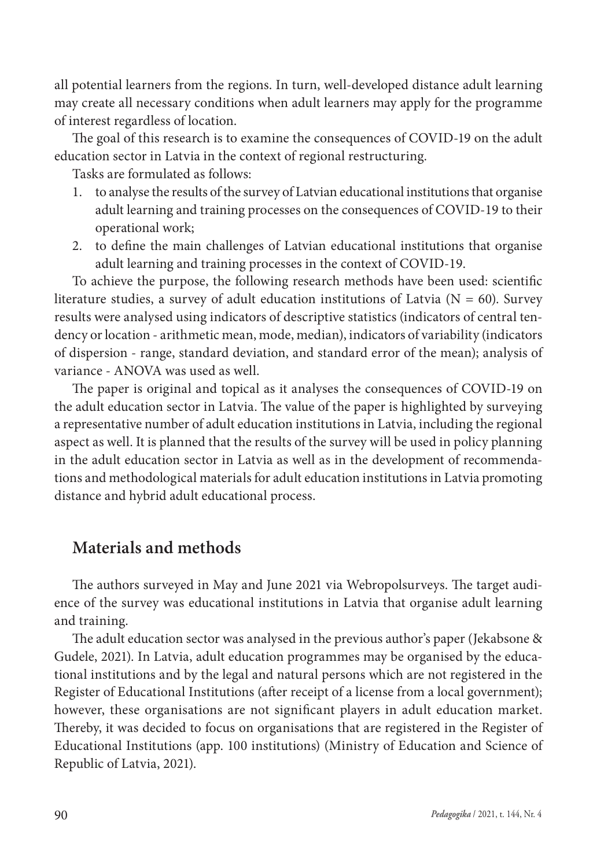all potential learners from the regions. In turn, well-developed distance adult learning may create all necessary conditions when adult learners may apply for the programme of interest regardless of location.

The goal of this research is to examine the consequences of COVID-19 on the adult education sector in Latvia in the context of regional restructuring.

Tasks are formulated as follows:

- 1. to analyse the results of the survey of Latvian educational institutions that organise adult learning and training processes on the consequences of COVID-19 to their operational work;
- 2. to define the main challenges of Latvian educational institutions that organise adult learning and training processes in the context of COVID-19.

To achieve the purpose, the following research methods have been used: scientific literature studies, a survey of adult education institutions of Latvia ( $N = 60$ ). Survey results were analysed using indicators of descriptive statistics (indicators of central tendency or location - arithmetic mean, mode, median), indicators of variability (indicators of dispersion - range, standard deviation, and standard error of the mean); analysis of variance - ANOVA was used as well.

The paper is original and topical as it analyses the consequences of COVID-19 on the adult education sector in Latvia. The value of the paper is highlighted by surveying a representative number of adult education institutions in Latvia, including the regional aspect as well. It is planned that the results of the survey will be used in policy planning in the adult education sector in Latvia as well as in the development of recommendations and methodological materials for adult education institutions in Latvia promoting distance and hybrid adult educational process.

## **Materials and methods**

The authors surveyed in May and June 2021 via Webropolsurveys. The target audience of the survey was educational institutions in Latvia that organise adult learning and training.

The adult education sector was analysed in the previous author's paper (Jekabsone & Gudele, 2021). In Latvia, adult education programmes may be organised by the educational institutions and by the legal and natural persons which are not registered in the Register of Educational Institutions (after receipt of a license from a local government); however, these organisations are not significant players in adult education market. Thereby, it was decided to focus on organisations that are registered in the Register of Educational Institutions (app. 100 institutions) (Ministry of Education and Science of Republic of Latvia, 2021).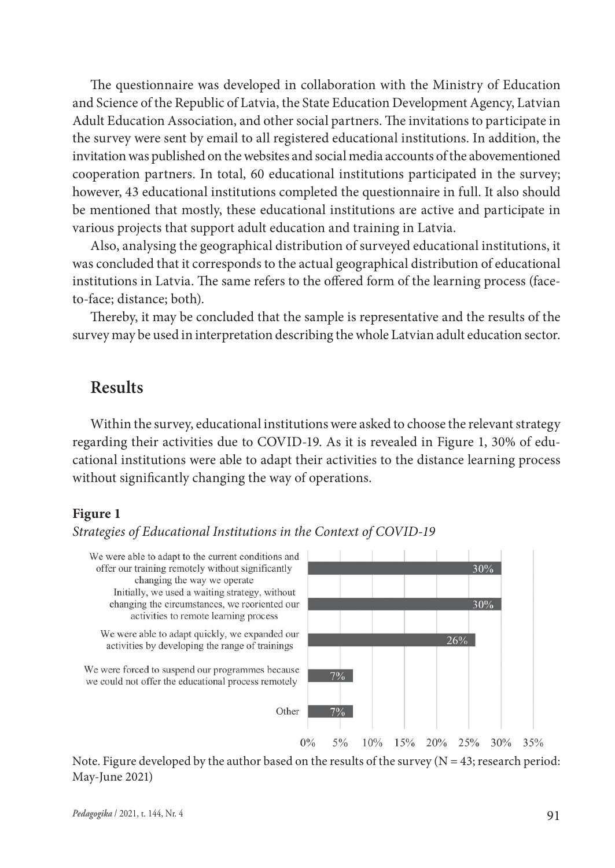The questionnaire was developed in collaboration with the Ministry of Education and Science of the Republic of Latvia, the State Education Development Agency, Latvian Adult Education Association, and other social partners. The invitations to participate in the survey were sent by email to all registered educational institutions. In addition, the invitation was published on the websites and social media accounts of the abovementioned cooperation partners. In total, 60 educational institutions participated in the survey; however, 43 educational institutions completed the questionnaire in full. It also should be mentioned that mostly, these educational institutions are active and participate in various projects that support adult education and training in Latvia.

Also, analysing the geographical distribution of surveyed educational institutions, it was concluded that it corresponds to the actual geographical distribution of educational institutions in Latvia. The same refers to the offered form of the learning process (faceto-face; distance; both).

Thereby, it may be concluded that the sample is representative and the results of the survey may be used in interpretation describing the whole Latvian adult education sector.

## **Results**

Within the survey, educational institutions were asked to choose the relevant strategy regarding their activities due to COVID-19. As it is revealed in Figure 1, 30% of educational institutions were able to adapt their activities to the distance learning process without significantly changing the way of operations.

#### **Figure 1**

#### *Strategies of Educational Institutions in the Context of COVID-19*



Note. Figure developed by the author based on the results of the survey  $(N = 43;$  research period: May-June 2021)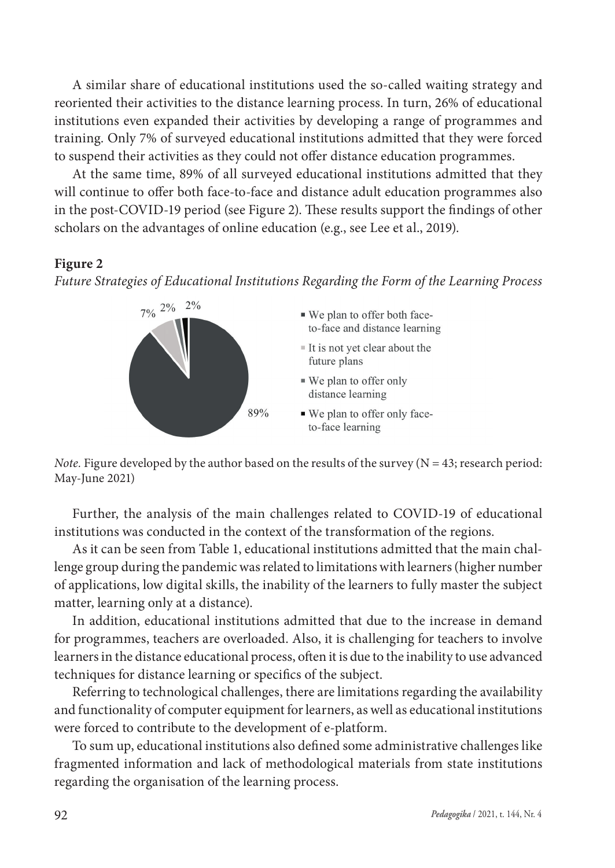A similar share of educational institutions used the so-called waiting strategy and reoriented their activities to the distance learning process. In turn, 26% of educational institutions even expanded their activities by developing a range of programmes and training. Only 7% of surveyed educational institutions admitted that they were forced to suspend their activities as they could not offer distance education programmes.

At the same time, 89% of all surveyed educational institutions admitted that they will continue to offer both face-to-face and distance adult education programmes also in the post-COVID-19 period (see Figure 2). These results support the findings of other scholars on the advantages of online education (e.g., see Lee et al., 2019).

#### **Figure 2**

*Future Strategies of Educational Institutions Regarding the Form of the Learning Process* 



*Note.* Figure developed by the author based on the results of the survey  $(N = 43;$  research period: May-June 2021)

Further, the analysis of the main challenges related to COVID-19 of educational institutions was conducted in the context of the transformation of the regions.

As it can be seen from Table 1, educational institutions admitted that the main challenge group during the pandemic was related to limitations with learners (higher number of applications, low digital skills, the inability of the learners to fully master the subject matter, learning only at a distance).

In addition, educational institutions admitted that due to the increase in demand for programmes, teachers are overloaded. Also, it is challenging for teachers to involve learners in the distance educational process, often it is due to the inability to use advanced techniques for distance learning or specifics of the subject.

Referring to technological challenges, there are limitations regarding the availability and functionality of computer equipment for learners, as well as educational institutions were forced to contribute to the development of e-platform.

To sum up, educational institutions also defined some administrative challenges like fragmented information and lack of methodological materials from state institutions regarding the organisation of the learning process.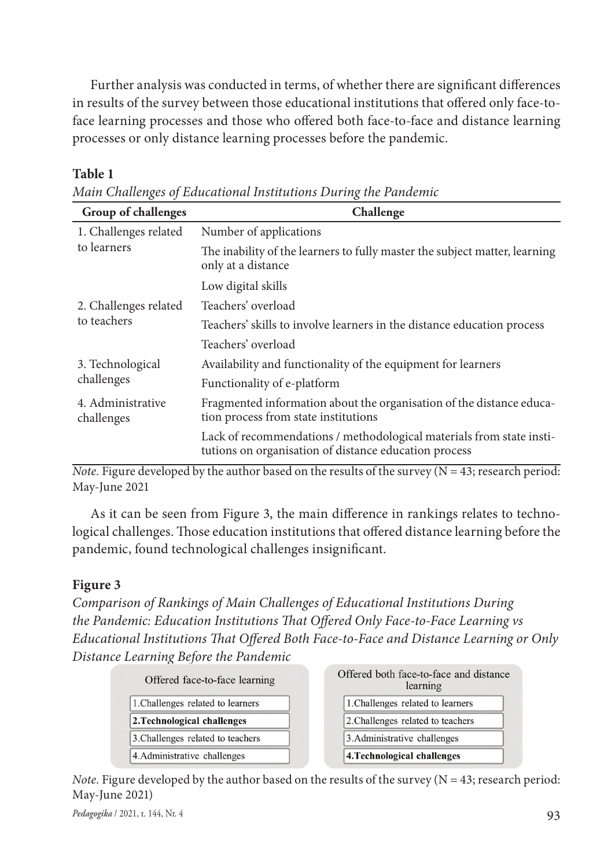Further analysis was conducted in terms, of whether there are significant differences in results of the survey between those educational institutions that offered only face-toface learning processes and those who offered both face-to-face and distance learning processes or only distance learning processes before the pandemic.

#### **Table 1**

| Group of challenges             | Challenge                                                                                                                     |  |  |
|---------------------------------|-------------------------------------------------------------------------------------------------------------------------------|--|--|
| 1. Challenges related           | Number of applications                                                                                                        |  |  |
| to learners                     | The inability of the learners to fully master the subject matter, learning<br>only at a distance                              |  |  |
|                                 | Low digital skills                                                                                                            |  |  |
| 2. Challenges related           | Teachers' overload                                                                                                            |  |  |
| to teachers                     | Teachers' skills to involve learners in the distance education process                                                        |  |  |
|                                 | Teachers' overload                                                                                                            |  |  |
| 3. Technological                | Availability and functionality of the equipment for learners                                                                  |  |  |
| challenges                      | Functionality of e-platform                                                                                                   |  |  |
| 4. Administrative<br>challenges | Fragmented information about the organisation of the distance educa-<br>tion process from state institutions                  |  |  |
|                                 | Lack of recommendations / methodological materials from state insti-<br>tutions on organisation of distance education process |  |  |

*Note.* Figure developed by the author based on the results of the survey  $(N = 43$ ; research period: May-June 2021

As it can be seen from Figure 3, the main difference in rankings relates to technological challenges. Those education institutions that offered distance learning before the pandemic, found technological challenges insignificant.

#### **Figure 3**

*Comparison of Rankings of Main Challenges of Educational Institutions During the Pandemic: Education Institutions That Offered Only Face-to-Face Learning vs Educational Institutions That Offered Both Face-to-Face and Distance Learning or Only Distance Learning Before the Pandemic* 

| Offered face-to-face learning     |  |
|-----------------------------------|--|
| 1. Challenges related to learners |  |
| 2. Technological challenges       |  |
| 3. Challenges related to teachers |  |
| 4. Administrative challenges      |  |
|                                   |  |

 $\sim$   $\sim$   $\sim$   $\sim$   $\sim$ 

|                              | Offered both face-to-face and distance<br>learning |  |
|------------------------------|----------------------------------------------------|--|
|                              | 1. Challenges related to learners                  |  |
|                              | 2. Challenges related to teachers                  |  |
| 3. Administrative challenges |                                                    |  |
|                              | 4. Technological challenges                        |  |

*Note.* Figure developed by the author based on the results of the survey  $(N = 43$ ; research period: May-June 2021)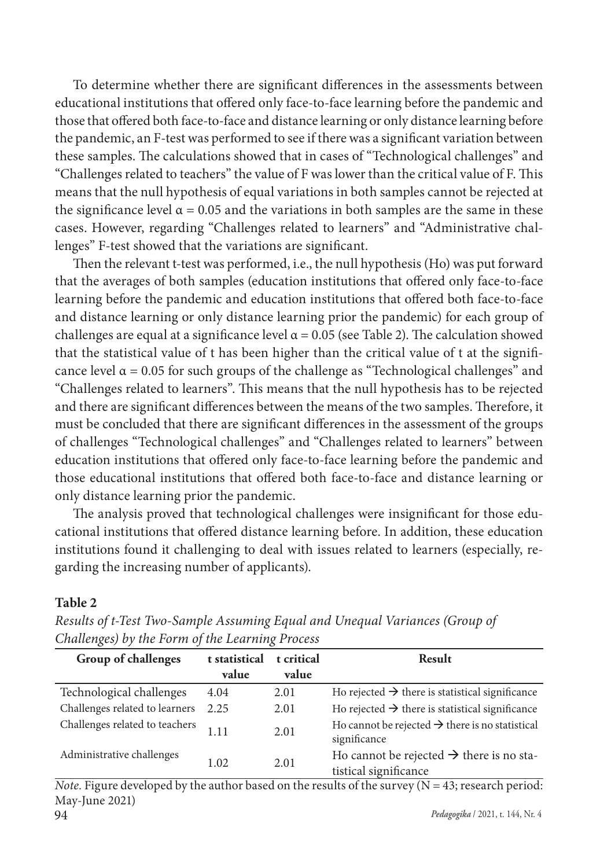To determine whether there are significant differences in the assessments between educational institutions that offered only face-to-face learning before the pandemic and those that offered both face-to-face and distance learning or only distance learning before the pandemic, an F-test was performed to see if there was a significant variation between these samples. The calculations showed that in cases of "Technological challenges" and "Challenges related to teachers" the value of F was lower than the critical value of F. This means that the null hypothesis of equal variations in both samples cannot be rejected at the significance level  $\alpha$  = 0.05 and the variations in both samples are the same in these cases. However, regarding "Challenges related to learners" and "Administrative challenges" F-test showed that the variations are significant.

Then the relevant t-test was performed, i.e., the null hypothesis (Ho) was put forward that the averages of both samples (education institutions that offered only face-to-face learning before the pandemic and education institutions that offered both face-to-face and distance learning or only distance learning prior the pandemic) for each group of challenges are equal at a significance level  $\alpha$  = 0.05 (see Table 2). The calculation showed that the statistical value of t has been higher than the critical value of t at the significance level  $\alpha$  = 0.05 for such groups of the challenge as "Technological challenges" and "Challenges related to learners". This means that the null hypothesis has to be rejected and there are significant differences between the means of the two samples. Therefore, it must be concluded that there are significant differences in the assessment of the groups of challenges "Technological challenges" and "Challenges related to learners" between education institutions that offered only face-to-face learning before the pandemic and those educational institutions that offered both face-to-face and distance learning or only distance learning prior the pandemic.

The analysis proved that technological challenges were insignificant for those educational institutions that offered distance learning before. In addition, these education institutions found it challenging to deal with issues related to learners (especially, regarding the increasing number of applicants).

#### **Table 2**

| Chanchges) by the Form of the Learning Frocess |                        |                     |                                                                               |  |  |  |
|------------------------------------------------|------------------------|---------------------|-------------------------------------------------------------------------------|--|--|--|
| Group of challenges                            | t statistical<br>value | t critical<br>value | Result                                                                        |  |  |  |
| Technological challenges                       | 4.04                   | 2.01                | Ho rejected $\rightarrow$ there is statistical significance                   |  |  |  |
| Challenges related to learners                 | 2.25                   | 2.01                | Ho rejected $\rightarrow$ there is statistical significance                   |  |  |  |
| Challenges related to teachers                 | 1.11                   | 2.01                | Ho cannot be rejected $\rightarrow$ there is no statistical<br>significance   |  |  |  |
| Administrative challenges                      | 1.02                   | 2.01                | Ho cannot be rejected $\rightarrow$ there is no sta-<br>tistical significance |  |  |  |

*Results of t-Test Two-Sample Assuming Equal and Unequal Variances (Group of Challenges) by the Form of the Learning Process* 

94 *Pedagogika* / 2021, t. 144, Nr. 4 *Note.* Figure developed by the author based on the results of the survey  $(N = 43$ ; research period: May-June 2021)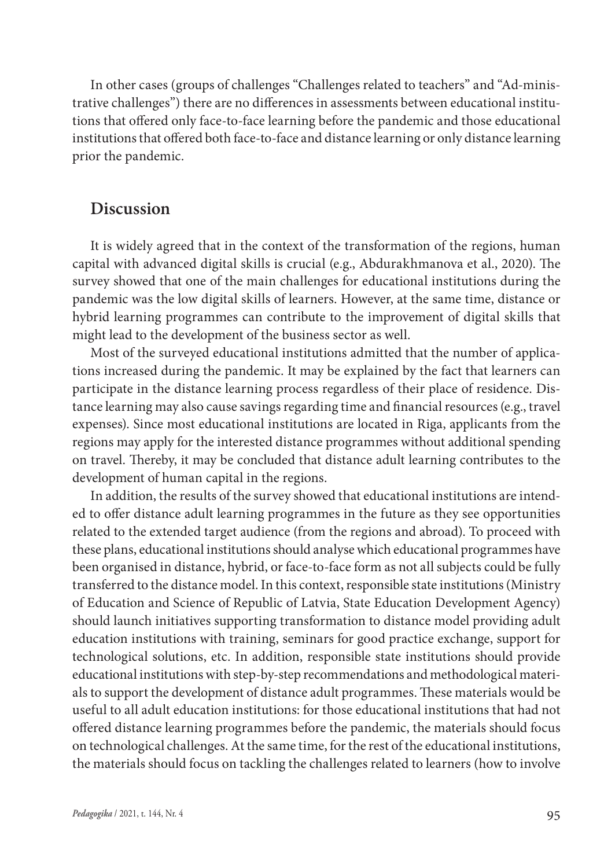In other cases (groups of challenges "Challenges related to teachers" and "Ad-ministrative challenges") there are no differences in assessments between educational institutions that offered only face-to-face learning before the pandemic and those educational institutions that offered both face-to-face and distance learning or only distance learning prior the pandemic.

## **Discussion**

It is widely agreed that in the context of the transformation of the regions, human capital with advanced digital skills is crucial (e.g., Abdurakhmanova et al., 2020). The survey showed that one of the main challenges for educational institutions during the pandemic was the low digital skills of learners. However, at the same time, distance or hybrid learning programmes can contribute to the improvement of digital skills that might lead to the development of the business sector as well.

Most of the surveyed educational institutions admitted that the number of applications increased during the pandemic. It may be explained by the fact that learners can participate in the distance learning process regardless of their place of residence. Distance learning may also cause savings regarding time and financial resources (e.g., travel expenses). Since most educational institutions are located in Riga, applicants from the regions may apply for the interested distance programmes without additional spending on travel. Thereby, it may be concluded that distance adult learning contributes to the development of human capital in the regions.

In addition, the results of the survey showed that educational institutions are intended to offer distance adult learning programmes in the future as they see opportunities related to the extended target audience (from the regions and abroad). To proceed with these plans, educational institutions should analyse which educational programmes have been organised in distance, hybrid, or face-to-face form as not all subjects could be fully transferred to the distance model. In this context, responsible state institutions (Ministry of Education and Science of Republic of Latvia, State Education Development Agency) should launch initiatives supporting transformation to distance model providing adult education institutions with training, seminars for good practice exchange, support for technological solutions, etc. In addition, responsible state institutions should provide educational institutions with step-by-step recommendations and methodological materials to support the development of distance adult programmes. These materials would be useful to all adult education institutions: for those educational institutions that had not offered distance learning programmes before the pandemic, the materials should focus on technological challenges. At the same time, for the rest of the educational institutions, the materials should focus on tackling the challenges related to learners (how to involve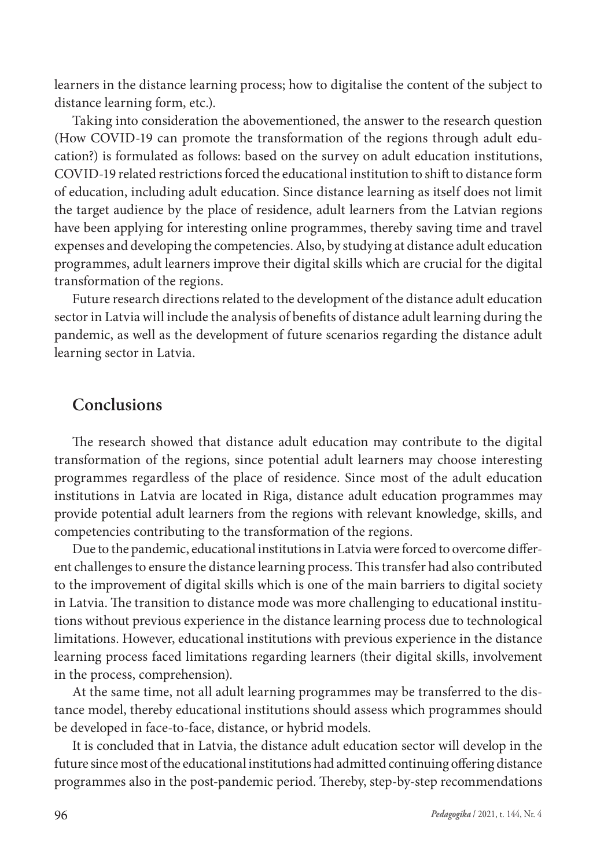learners in the distance learning process; how to digitalise the content of the subject to distance learning form, etc.).

Taking into consideration the abovementioned, the answer to the research question (How COVID-19 can promote the transformation of the regions through adult education?) is formulated as follows: based on the survey on adult education institutions, COVID-19 related restrictions forced the educational institution to shift to distance form of education, including adult education. Since distance learning as itself does not limit the target audience by the place of residence, adult learners from the Latvian regions have been applying for interesting online programmes, thereby saving time and travel expenses and developing the competencies. Also, by studying at distance adult education programmes, adult learners improve their digital skills which are crucial for the digital transformation of the regions.

Future research directions related to the development of the distance adult education sector in Latvia will include the analysis of benefits of distance adult learning during the pandemic, as well as the development of future scenarios regarding the distance adult learning sector in Latvia.

# **Conclusions**

The research showed that distance adult education may contribute to the digital transformation of the regions, since potential adult learners may choose interesting programmes regardless of the place of residence. Since most of the adult education institutions in Latvia are located in Riga, distance adult education programmes may provide potential adult learners from the regions with relevant knowledge, skills, and competencies contributing to the transformation of the regions.

Due to the pandemic, educational institutions in Latvia were forced to overcome different challenges to ensure the distance learning process. This transfer had also contributed to the improvement of digital skills which is one of the main barriers to digital society in Latvia. The transition to distance mode was more challenging to educational institutions without previous experience in the distance learning process due to technological limitations. However, educational institutions with previous experience in the distance learning process faced limitations regarding learners (their digital skills, involvement in the process, comprehension).

At the same time, not all adult learning programmes may be transferred to the distance model, thereby educational institutions should assess which programmes should be developed in face-to-face, distance, or hybrid models.

It is concluded that in Latvia, the distance adult education sector will develop in the future since most of the educational institutions had admitted continuing offering distance programmes also in the post-pandemic period. Thereby, step-by-step recommendations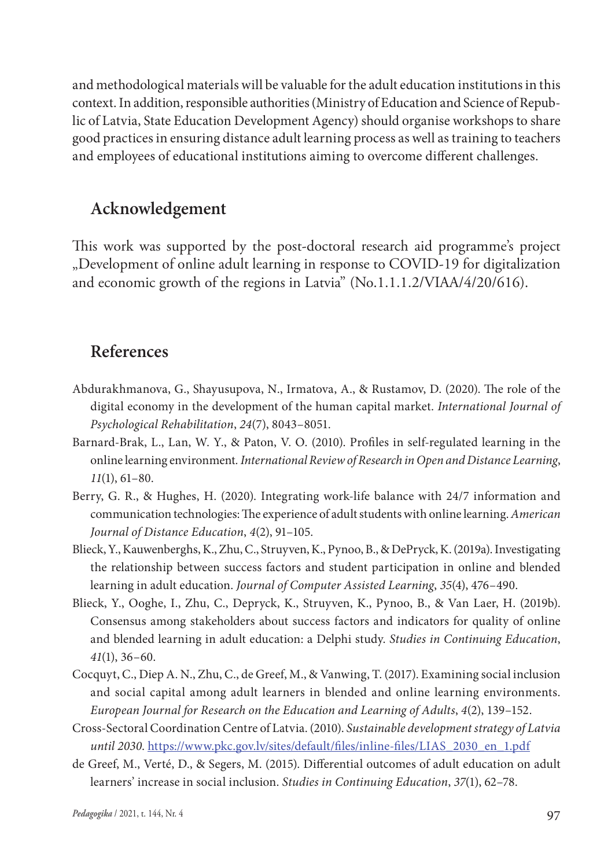and methodological materials will be valuable for the adult education institutions in this context. In addition, responsible authorities (Ministry of Education and Science of Republic of Latvia, State Education Development Agency) should organise workshops to share good practices in ensuring distance adult learning process as well as training to teachers and employees of educational institutions aiming to overcome different challenges.

# **Acknowledgement**

This work was supported by the post-doctoral research aid programme's project "Development of online adult learning in response to COVID-19 for digitalization and economic growth of the regions in Latvia" (No.1.1.1.2/VIAA/4/20/616).

# **References**

- Abdurakhmanova, G., Shayusupova, N., Irmatova, A., & Rustamov, D. (2020). The role of the digital economy in the development of the human capital market. *International Journal of Psychological Rehabilitation*, *24*(7), 8043–8051.
- Barnard-Brak, L., Lan, W. Y., & Paton, V. O. (2010). Profiles in self-regulated learning in the online learning environment*. International Review of Research in Open and Distance Learning*, *11*(1), 61–80.
- Berry, G. R., & Hughes, H. (2020). Integrating work-life balance with 24/7 information and communication technologies: The experience of adult students with online learning. *American Journal of Distance Education*, *4*(2), 91–105.
- Blieck, Y., Kauwenberghs, K., Zhu, C., Struyven, K., Pynoo, B., & DePryck, K. (2019a). Investigating the relationship between success factors and student participation in online and blended learning in adult education. *Journal of Computer Assisted Learning*, *35*(4), 476–490.
- Blieck, Y., Ooghe, I., Zhu, C., Depryck, K., Struyven, K., Pynoo, B., & Van Laer, H. (2019b). Consensus among stakeholders about success factors and indicators for quality of online and blended learning in adult education: a Delphi study. *Studies in Continuing Education*, *41*(1), 36–60.
- Cocquyt, C., Diep A. N., Zhu, C., de Greef, M., & Vanwing, T. (2017). Examining social inclusion and social capital among adult learners in blended and online learning environments. *European Journal for Research on the Education and Learning of Adults*, *4*(2), 139–152.
- Cross-Sectoral Coordination Centre of Latvia. (2010). *Sustainable development strategy of Latvia until 2030*. [https://www.pkc.gov.lv/sites/default/files/inline-files/LIAS\\_2030\\_en\\_1.pdf](about:blank)
- de Greef, M., Verté, D., & Segers, M. (2015). Differential outcomes of adult education on adult learners' increase in social inclusion. *Studies in Continuing Education*, *37*(1), 62–78.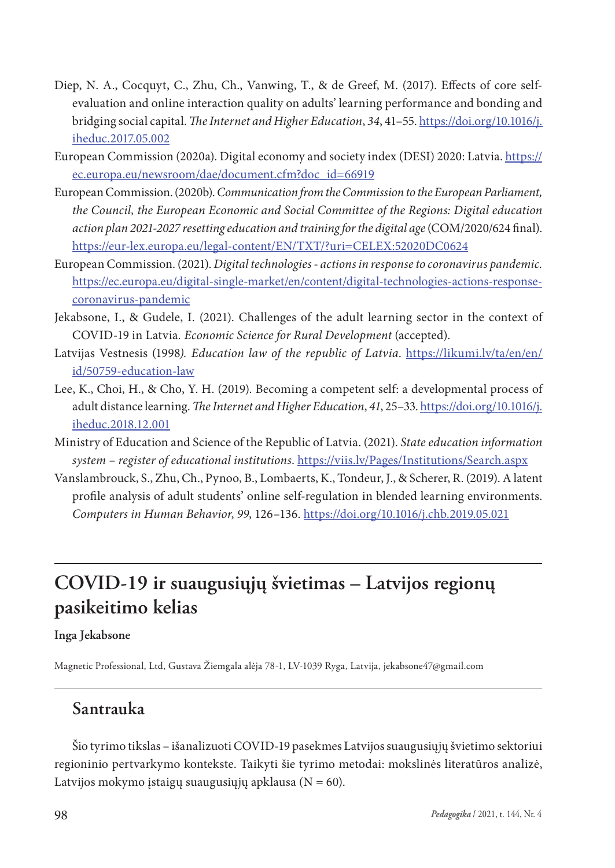- Diep, N. A., Cocquyt, C., Zhu, Ch., Vanwing, T., & de Greef, M. (2017). Effects of core selfevaluation and online interaction quality on adults' learning performance and bonding and bridging social capital. *The Internet and Higher Education*, *34*, 41–55. [https://doi.org/10.1016/j.](about:blank) [iheduc.2017.05.002](about:blank)
- European Commission (2020a). Digital economy and society index (DESI) 2020: Latvia. [https://](about:blank) [ec.europa.eu/newsroom/dae/document.cfm?doc\\_id=66919](about:blank)
- European Commission. (2020b). *Communication from the Commission to the European Parliament, the Council, the European Economic and Social Committee of the Regions: Digital education action plan 2021-2027 resetting education and training for the digital age* (COM/2020/624 final). [https://eur-lex.europa.eu/legal-content/EN/TXT/?uri=CELEX:52020DC0624](about:blank)
- European Commission. (2021). *Digital technologies actions in response to coronavirus pandemic.*  [https://ec.europa.eu/digital-single-market/en/content/digital-technologies-actions-response](about:blank)[coronavirus-pandemic](about:blank)
- Jekabsone, I., & Gudele, I. (2021). Challenges of the adult learning sector in the context of COVID-19 in Latvia*. Economic Science for Rural Development* (accepted).
- Latvijas Vestnesis (1998*). Education law of the republic of Latvia*. [https://likumi.lv/ta/en/en/](about:blank) [id/50759-education-law](about:blank)
- Lee, K., Choi, H., & Cho, Y. H. (2019). Becoming a competent self: a developmental process of adult distance learning. *The Internet and Higher Education*, *41*, 25–33. [https://doi.org/10.1016/j.](about:blank) [iheduc.2018.12.001](about:blank)
- Ministry of Education and Science of the Republic of Latvia. (2021). *State education information system – register of educational institutions*. [https://viis.lv/Pages/Institutions/Search.aspx](about:blank)
- Vanslambrouck, S., Zhu, Ch., Pynoo, B., Lombaerts, K., Tondeur, J., & Scherer, R. (2019). A latent profile analysis of adult students' online self-regulation in blended learning environments. *Computers in Human Behavior*, *99*, 126–136. [https://doi.org/10.1016/j.chb.2019.05.021](about:blank)

# **COVID-19 ir suaugusiųjų švietimas – Latvijos regionų pasikeitimo kelias**

#### **Inga Jekabsone**

Magnetic Professional, Ltd, Gustava Žiemgala alėja 78-1, LV-1039 Ryga, Latvija, jekabsone47@gmail.com

## **Santrauka**

Šio tyrimo tikslas – išanalizuoti COVID-19 pasekmes Latvijos suaugusiųjų švietimo sektoriui regioninio pertvarkymo kontekste. Taikyti šie tyrimo metodai: mokslinės literatūros analizė, Latvijos mokymo įstaigų suaugusiųjų apklausa ( $N = 60$ ).